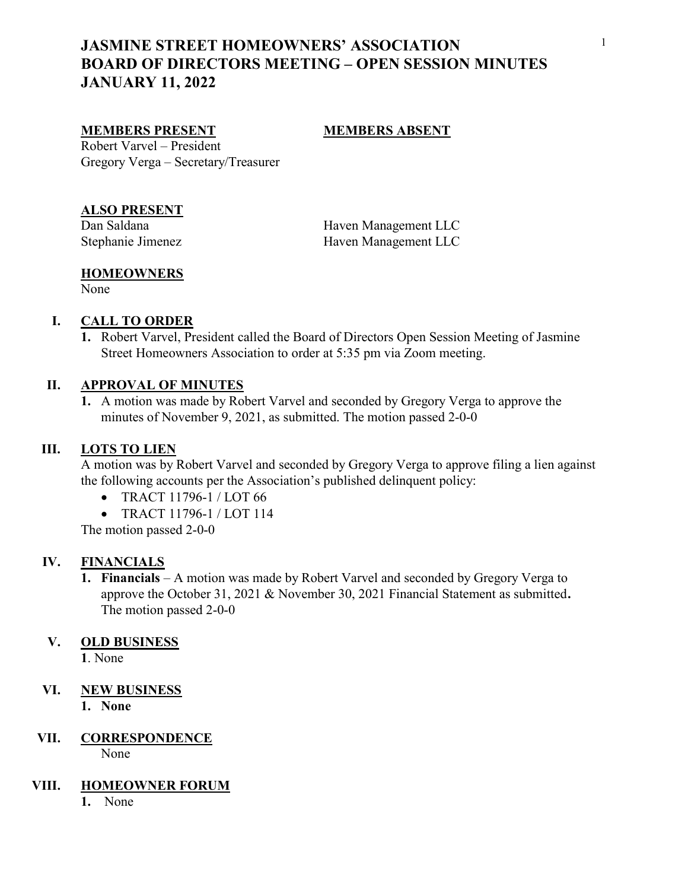# JASMINE STREET HOMEOWNERS' ASSOCIATION BOARD OF DIRECTORS MEETING – OPEN SESSION MINUTES JANUARY 11, 2022

### MEMBERS PRESENT MEMBERS ABSENT

Robert Varvel – President Gregory Verga – Secretary/Treasurer

# ALSO PRESENT

Dan Saldana Haven Management LLC Stephanie Jimenez Haven Management LLC

#### **HOMEOWNERS**

None

## I. CALL TO ORDER

1. Robert Varvel, President called the Board of Directors Open Session Meeting of Jasmine Street Homeowners Association to order at 5:35 pm via Zoom meeting.

# II. APPROVAL OF MINUTES

1. A motion was made by Robert Varvel and seconded by Gregory Verga to approve the minutes of November 9, 2021, as submitted. The motion passed 2-0-0

#### III. LOTS TO LIEN

A motion was by Robert Varvel and seconded by Gregory Verga to approve filing a lien against the following accounts per the Association's published delinquent policy:

- TRACT 11796-1 / LOT 66
- TRACT 11796-1 / LOT 114

The motion passed 2-0-0

#### IV. FINANCIALS

1. Financials – A motion was made by Robert Varvel and seconded by Gregory Verga to approve the October 31, 2021 & November 30, 2021 Financial Statement as submitted. The motion passed 2-0-0

#### V. OLD BUSINESS

1. None

# VI. NEW BUSINESS

1. None

# VII. CORRESPONDENCE

None

## VIII. HOMEOWNER FORUM

1. None